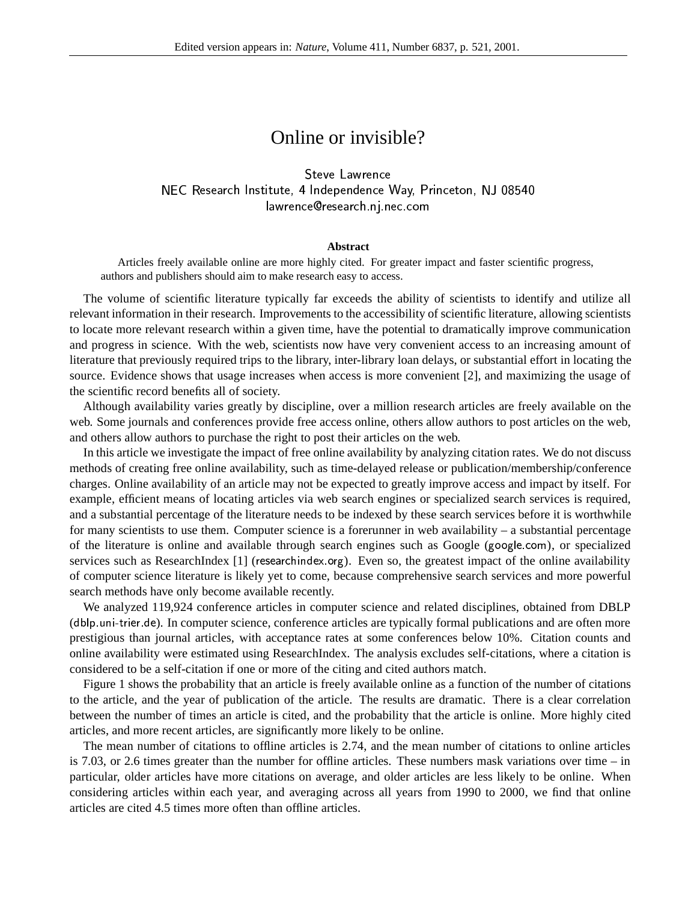## Online or invisible?

and the control of the control of the control of the control of the control of the control of the control of the ! "\$# &%')(+\*, -./1021./435 6(879
:#;<=>( @?BA2CD \* <sup>A</sup> . He says that the same state of the same state of the same state of the same state of the same state of the same state of the same state of the same state of the same state of the same state of the same state of the same

## **Abstract**

Articles freely available online are more highly cited. For greater impact and faster scientific progress, authors and publishers should aim to make research easy to access.

The volume of scientific literature typically far exceeds the ability of scientists to identify and utilize all relevant information in their research. Improvements to the accessibility of scientific literature, allowing scientists to locate more relevant research within a given time, have the potential to dramatically improve communication and progress in science. With the web, scientists now have very convenient access to an increasing amount of literature that previously required trips to the library, inter-library loan delays, or substantial effort in locating the source. Evidence shows that usage increases when access is more convenient [2], and maximizing the usage of the scientific record benefits all of society.

Although availability varies greatly by discipline, over a million research articles are freely available on the web. Some journals and conferences provide free access online, others allow authors to post articles on the web, and others allow authors to purchase the right to post their articles on the web.

In this article we investigate the impact of free online availability by analyzing citation rates. We do not discuss methods of creating free online availability, such as time-delayed release or publication/membership/conference charges. Online availability of an article may not be expected to greatly improve access and impact by itself. For example, efficient means of locating articles via web search engines or specialized search services is required, and a substantial percentage of the literature needs to be indexed by these search services before it is worthwhile for many scientists to use them. Computer science is a forerunner in web availability – a substantial percentage of the literature is online and available through search engines such as Google (google com), or specialized services such as ResearchIndex  $[1]$  (researchindex.org). Even so, the greatest impact of the online availability of computer science literature is likely yet to come, because comprehensive search services and more powerful search methods have only become available recently.

We analyzed 119,924 conference articles in computer science and related disciplines, obtained from DBLP (dblp.uni-trier.de). In computer science, conference articles are typically formal publications and are often more prestigious than journal articles, with acceptance rates at some conferences below 10%. Citation counts and online availability were estimated using ResearchIndex. The analysis excludes self-citations, where a citation is considered to be a self-citation if one or more of the citing and cited authors match.

Figure 1 shows the probability that an article is freely available online as a function of the number of citations to the article, and the year of publication of the article. The results are dramatic. There is a clear correlation between the number of times an article is cited, and the probability that the article is online. More highly cited articles, and more recent articles, are significantly more likely to be online.

The mean number of citations to offline articles is 2.74, and the mean number of citations to online articles is 7.03, or 2.6 times greater than the number for offline articles. These numbers mask variations over time – in particular, older articles have more citations on average, and older articles are less likely to be online. When considering articles within each year, and averaging across all years from 1990 to 2000, we find that online articles are cited 4.5 times more often than offline articles.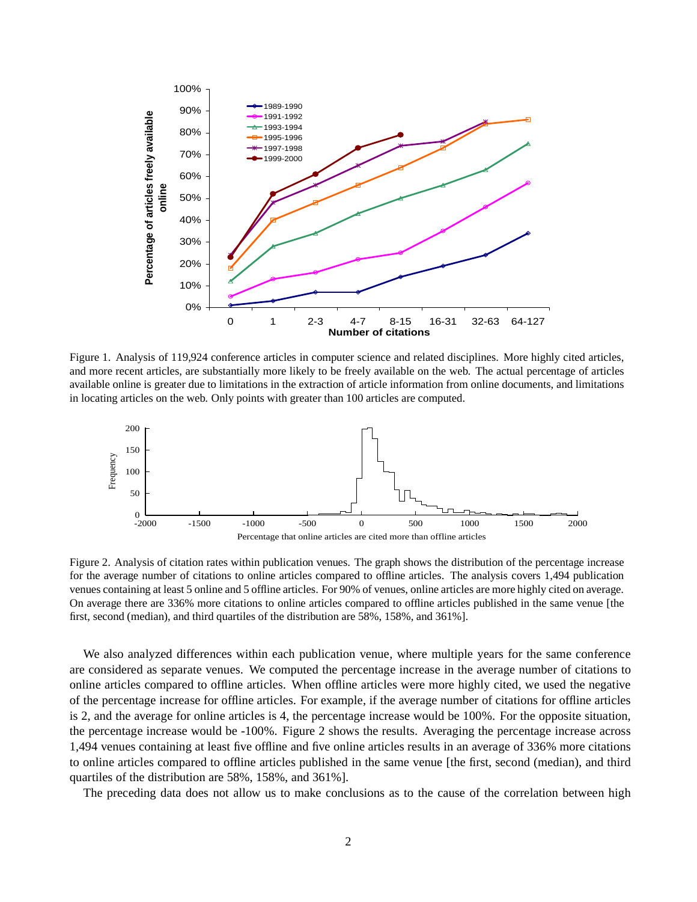

Figure 1. Analysis of 119,924 conference articles in computer science and related disciplines. More highly cited articles, and more recent articles, are substantially more likely to be freely available on the web. The actual percentage of articles available online is greater due to limitations in the extraction of article information from online documents, and limitations in locating articles on the web. Only points with greater than 100 articles are computed.



Figure 2. Analysis of citation rates within publication venues. The graph shows the distribution of the percentage increase for the average number of citations to online articles compared to offline articles. The analysis covers 1,494 publication venues containing at least 5 online and 5 offline articles. For 90% of venues, online articles are more highly cited on average. On average there are 336% more citations to online articles compared to offline articles published in the same venue [the first, second (median), and third quartiles of the distribution are 58%, 158%, and 361%].

We also analyzed differences within each publication venue, where multiple years for the same conference are considered as separate venues. We computed the percentage increase in the average number of citations to online articles compared to offline articles. When offline articles were more highly cited, we used the negative of the percentage increase for offline articles. For example, if the average number of citations for offline articles is 2, and the average for online articles is 4, the percentage increase would be 100%. For the opposite situation, the percentage increase would be -100%. Figure 2 shows the results. Averaging the percentage increase across 1,494 venues containing at least five offline and five online articles results in an average of 336% more citations to online articles compared to offline articles published in the same venue [the first, second (median), and third quartiles of the distribution are 58%, 158%, and 361%].

The preceding data does not allow us to make conclusions as to the cause of the correlation between high